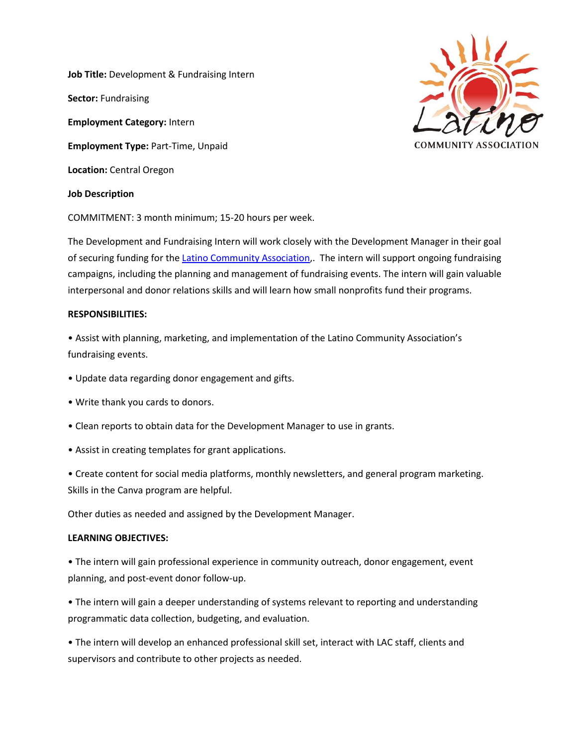**Job Title:** Development & Fundraising Intern **Sector:** Fundraising **Employment Category:** Intern **Employment Type:** Part-Time, Unpaid **Location:** Central Oregon **Job Description** 



COMMITMENT: 3 month minimum; 15-20 hours per week.

The Development and Fundraising Intern will work closely with the Development Manager in their goal of securing funding for the [Latino Community Association,](mailto:staff@latinocommunityassociation.org). The intern will support ongoing fundraising campaigns, including the planning and management of fundraising events. The intern will gain valuable interpersonal and donor relations skills and will learn how small nonprofits fund their programs.

## **RESPONSIBILITIES:**

• Assist with planning, marketing, and implementation of the Latino Community Association's fundraising events.

- Update data regarding donor engagement and gifts.
- Write thank you cards to donors.
- Clean reports to obtain data for the Development Manager to use in grants.
- Assist in creating templates for grant applications.

• Create content for social media platforms, monthly newsletters, and general program marketing. Skills in the Canva program are helpful.

Other duties as needed and assigned by the Development Manager.

## **LEARNING OBJECTIVES:**

• The intern will gain professional experience in community outreach, donor engagement, event planning, and post-event donor follow-up.

• The intern will gain a deeper understanding of systems relevant to reporting and understanding programmatic data collection, budgeting, and evaluation.

• The intern will develop an enhanced professional skill set, interact with LAC staff, clients and supervisors and contribute to other projects as needed.